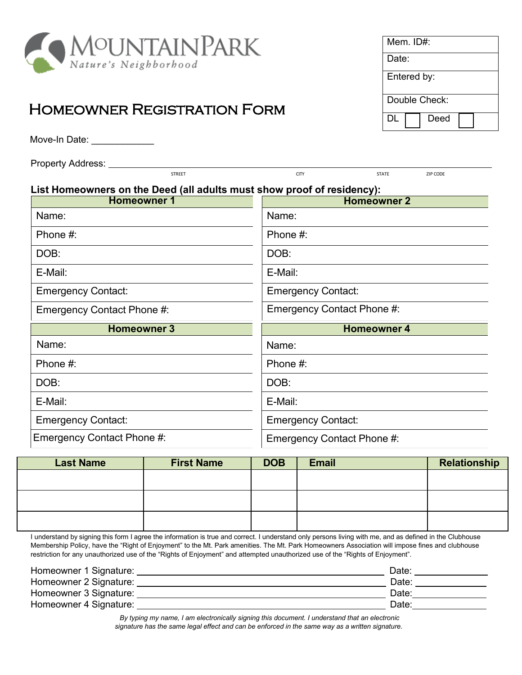

## Homeowner Registration Form

Move-In Date: **William** 

| <b>Property Address:</b> |  |
|--------------------------|--|
|--------------------------|--|

Mem. ID#: Date: Entered by: Double Check: DL<sup>D</sup> Deed

| Property Address:                                                      |               |                            |                    |          |
|------------------------------------------------------------------------|---------------|----------------------------|--------------------|----------|
|                                                                        | <b>STREET</b> | <b>CITY</b>                | <b>STATE</b>       | ZIP CODE |
| List Homeowners on the Deed (all adults must show proof of residency): |               |                            |                    |          |
| <b>Homeowner 1</b>                                                     |               |                            | <b>Homeowner 2</b> |          |
| Name:                                                                  |               | Name:                      |                    |          |
| Phone $#$ :                                                            |               | Phone #:                   |                    |          |
| DOB:                                                                   |               | DOB:                       |                    |          |
| E-Mail:                                                                |               | E-Mail:                    |                    |          |
| <b>Emergency Contact:</b>                                              |               | <b>Emergency Contact:</b>  |                    |          |
| Emergency Contact Phone #:                                             |               | Emergency Contact Phone #: |                    |          |
| <b>Homeowner 3</b>                                                     |               |                            | <b>Homeowner 4</b> |          |
| Name:                                                                  |               | Name:                      |                    |          |
| Phone #:                                                               |               | Phone #:                   |                    |          |
| DOB:                                                                   |               | DOB:                       |                    |          |
| E-Mail:                                                                |               | E-Mail:                    |                    |          |
| <b>Emergency Contact:</b>                                              |               | <b>Emergency Contact:</b>  |                    |          |

Emergency Contact Phone #:

| <b>Last Name</b> | <b>First Name</b> | <b>DOB</b> | <b>Email</b> | Relationship |
|------------------|-------------------|------------|--------------|--------------|
|                  |                   |            |              |              |
|                  |                   |            |              |              |
|                  |                   |            |              |              |
|                  |                   |            |              |              |
|                  |                   |            |              |              |
|                  |                   |            |              |              |

Emergency Contact Phone #:

I understand by signing this form I agree the information is true and correct. I understand only persons living with me, and as defined in the Clubhouse Membership Policy, have the "Right of Enjoyment" to the Mt. Park amenities. The Mt. Park Homeowners Association will impose fines and clubhouse restriction for any unauthorized use of the "Rights of Enjoyment" and attempted unauthorized use of the "Rights of Enjoyment".

| Homeowner 1 Signature: | Date: |  |
|------------------------|-------|--|
| Homeowner 2 Signature: | Date: |  |
| Homeowner 3 Signature: | Date: |  |
| Homeowner 4 Signature: | Date: |  |

*By typing my name, I am electronically signing this document. I understand that an electronic signature has the same legal effect and can be enforced in the same way as a written signature.*